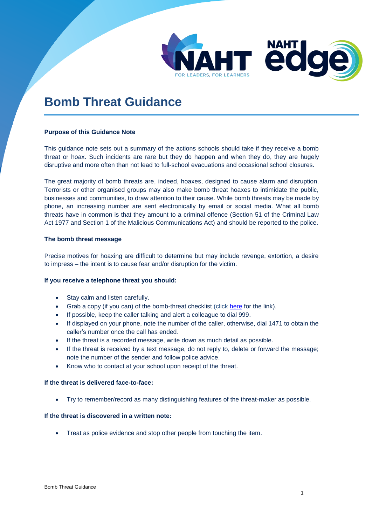

# **Bomb Threat Guidance**

## **Purpose of this Guidance Note**

This guidance note sets out a summary of the actions schools should take if they receive a bomb threat or hoax. Such incidents are rare but they do happen and when they do, they are hugely disruptive and more often than not lead to full-school evacuations and occasional school closures.

The great majority of bomb threats are, indeed, hoaxes, designed to cause alarm and disruption. Terrorists or other organised groups may also make bomb threat hoaxes to intimidate the public, businesses and communities, to draw attention to their cause. While bomb threats may be made by phone, an increasing number are sent electronically by email or social media. What all bomb threats have in common is that they amount to a criminal offence (Section 51 of the Criminal Law Act 1977 and Section 1 of the Malicious Communications Act) and should be reported to the police.

#### **The bomb threat message**

Precise motives for hoaxing are difficult to determine but may include revenge, extortion, a desire to impress – the intent is to cause fear and/or disruption for the victim.

## **If you receive a telephone threat you should:**

- Stay calm and listen carefully.
- Grab a copy (if you can) of the bomb-threat checklist (click [here](https://www.gov.uk/government/uploads/system/uploads/attachment_data/file/552301/Bomb_Threats_Form_5474.pdf) for the link).
- If possible, keep the caller talking and alert a colleague to dial 999.
- If displayed on your phone, note the number of the caller, otherwise, dial 1471 to obtain the caller's number once the call has ended.
- If the threat is a recorded message, write down as much detail as possible.
- If the threat is received by a text message, do not reply to, delete or forward the message; note the number of the sender and follow police advice.
- Know who to contact at your school upon receipt of the threat.

## **If the threat is delivered face-to-face:**

Try to remember/record as many distinguishing features of the threat-maker as possible.

## **If the threat is discovered in a written note:**

Treat as police evidence and stop other people from touching the item.